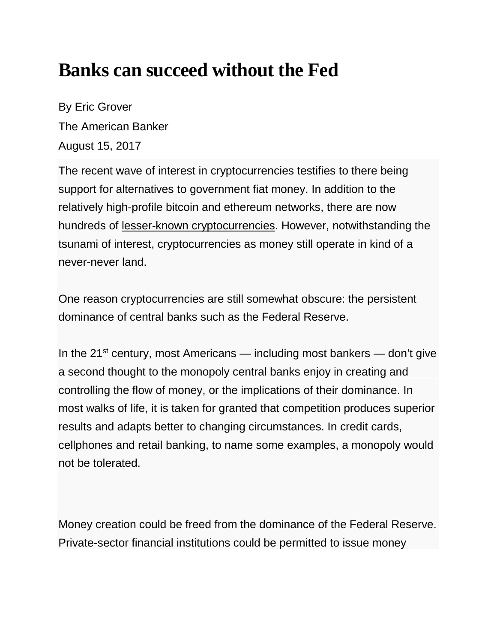## **Banks can succeed without the Fed**

By Eric Grover The American Banker August 15, 2017

The recent wave of interest in cryptocurrencies testifies to there being support for alternatives to government fiat money. In addition to the relatively high-profile bitcoin and ethereum networks, there are now hundreds of [lesser-known cryptocurrencies.](https://www.quora.com/Are-the-lesser-known-cryptocurrencies-good-investments-If-so-which-ones-and-why) However, notwithstanding the tsunami of interest, cryptocurrencies as money still operate in kind of a never-never land.

One reason cryptocurrencies are still somewhat obscure: the persistent dominance of central banks such as the Federal Reserve.

In the 21<sup>st</sup> century, most Americans — including most bankers — don't give a second thought to the monopoly central banks enjoy in creating and controlling the flow of money, or the implications of their dominance. In most walks of life, it is taken for granted that competition produces superior results and adapts better to changing circumstances. In credit cards, cellphones and retail banking, to name some examples, a monopoly would not be tolerated.

Money creation could be freed from the dominance of the Federal Reserve. Private-sector financial institutions could be permitted to issue money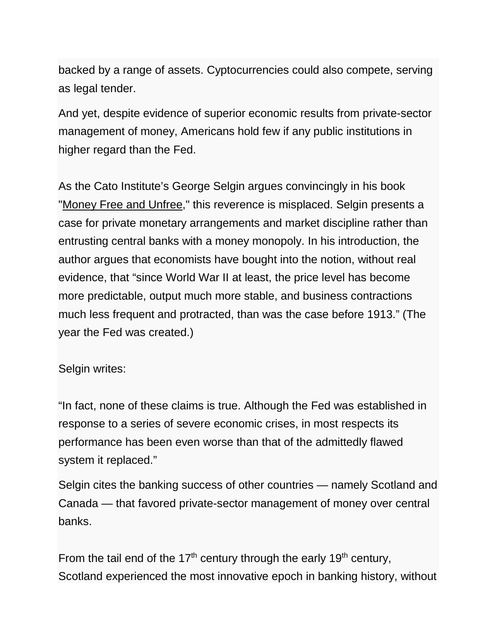backed by a range of assets. Cyptocurrencies could also compete, serving as legal tender.

And yet, despite evidence of superior economic results from private-sector management of money, Americans hold few if any public institutions in higher regard than the Fed.

As the Cato Institute's George Selgin argues convincingly in his book ["Money Free and Unfree,](https://www.amazon.com/Money-Free-Unfree-George-Selgin/dp/1944424296)" this reverence is misplaced. Selgin presents a case for private monetary arrangements and market discipline rather than entrusting central banks with a money monopoly. In his introduction, the author argues that economists have bought into the notion, without real evidence, that "since World War II at least, the price level has become more predictable, output much more stable, and business contractions much less frequent and protracted, than was the case before 1913." (The year the Fed was created.)

Selgin writes:

"In fact, none of these claims is true. Although the Fed was established in response to a series of severe economic crises, in most respects its performance has been even worse than that of the admittedly flawed system it replaced."

Selgin cites the banking success of other countries — namely Scotland and Canada — that favored private-sector management of money over central banks.

From the tail end of the 17<sup>th</sup> century through the early 19<sup>th</sup> century, Scotland experienced the most innovative epoch in banking history, without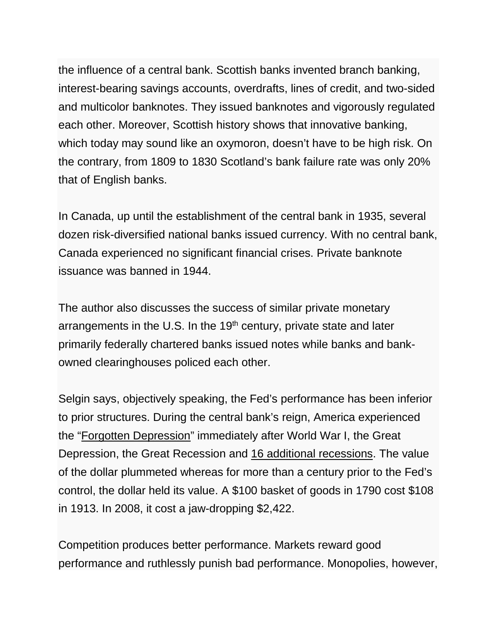the influence of a central bank. Scottish banks invented branch banking, interest-bearing savings accounts, overdrafts, lines of credit, and two-sided and multicolor banknotes. They issued banknotes and vigorously regulated each other. Moreover, Scottish history shows that innovative banking, which today may sound like an oxymoron, doesn't have to be high risk. On the contrary, from 1809 to 1830 Scotland's bank failure rate was only 20% that of English banks.

In Canada, up until the establishment of the central bank in 1935, several dozen risk-diversified national banks issued currency. With no central bank, Canada experienced no significant financial crises. Private banknote issuance was banned in 1944.

The author also discusses the success of similar private monetary arrangements in the U.S. In the  $19<sup>th</sup>$  century, private state and later primarily federally chartered banks issued notes while banks and bankowned clearinghouses policed each other.

Selgin says, objectively speaking, the Fed's performance has been inferior to prior structures. During the central bank's reign, America experienced the ["Forgotten Depression"](https://www.amazon.com/Forgotten-Depression-Crash-Cured-Itself/dp/1451686463) immediately after World War I, the Great Depression, the Great Recession and [16 additional recessions.](http://www.nber.org/cycles.html) The value of the dollar plummeted whereas for more than a century prior to the Fed's control, the dollar held its value. A \$100 basket of goods in 1790 cost \$108 in 1913. In 2008, it cost a jaw-dropping \$2,422.

Competition produces better performance. Markets reward good performance and ruthlessly punish bad performance. Monopolies, however,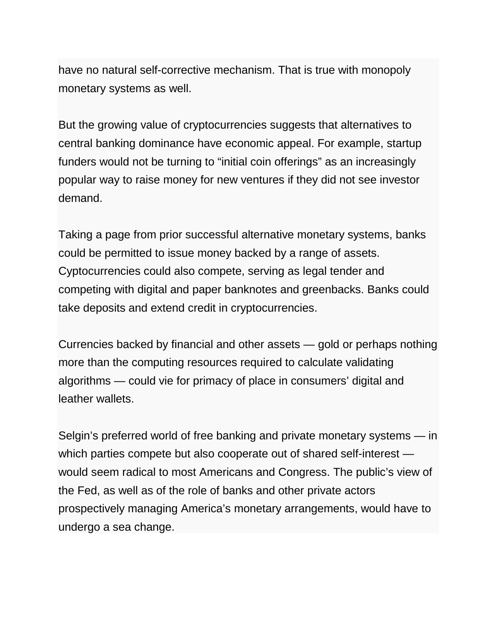have no natural self-corrective mechanism. That is true with monopoly monetary systems as well.

But the growing value of cryptocurrencies suggests that alternatives to central banking dominance have economic appeal. For example, startup funders would not be turning to "initial coin offerings" as an increasingly popular way to raise money for new ventures if they did not see investor demand.

Taking a page from prior successful alternative monetary systems, banks could be permitted to issue money backed by a range of assets. Cyptocurrencies could also compete, serving as legal tender and competing with digital and paper banknotes and greenbacks. Banks could take deposits and extend credit in cryptocurrencies.

Currencies backed by financial and other assets — gold or perhaps nothing more than the computing resources required to calculate validating algorithms — could vie for primacy of place in consumers' digital and leather wallets.

Selgin's preferred world of free banking and private monetary systems — in which parties compete but also cooperate out of shared self-interest would seem radical to most Americans and Congress. The public's view of the Fed, as well as of the role of banks and other private actors prospectively managing America's monetary arrangements, would have to undergo a sea change.